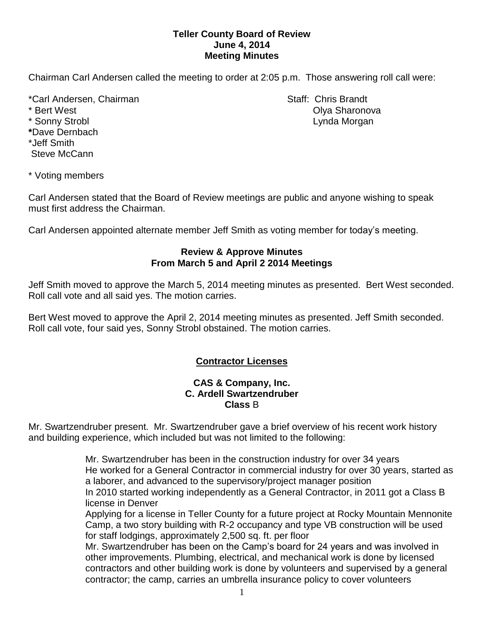## **Teller County Board of Review June 4, 2014 Meeting Minutes**

Chairman Carl Andersen called the meeting to order at 2:05 p.m. Those answering roll call were:

\*Carl Andersen, Chairman Staff: Chris Brandt \* Bert West Olya Sharonova \* Sonny Strobl **Lynda Morgan \***Dave Dernbach \*Jeff Smith Steve McCann

\* Voting members

Carl Andersen stated that the Board of Review meetings are public and anyone wishing to speak must first address the Chairman.

Carl Andersen appointed alternate member Jeff Smith as voting member for today's meeting.

#### **Review & Approve Minutes From March 5 and April 2 2014 Meetings**

Jeff Smith moved to approve the March 5, 2014 meeting minutes as presented. Bert West seconded. Roll call vote and all said yes. The motion carries.

Bert West moved to approve the April 2, 2014 meeting minutes as presented. Jeff Smith seconded. Roll call vote, four said yes, Sonny Strobl obstained. The motion carries.

# **Contractor Licenses**

#### **CAS & Company, Inc. C. Ardell Swartzendruber Class** B

Mr. Swartzendruber present. Mr. Swartzendruber gave a brief overview of his recent work history and building experience, which included but was not limited to the following:

> Mr. Swartzendruber has been in the construction industry for over 34 years He worked for a General Contractor in commercial industry for over 30 years, started as a laborer, and advanced to the supervisory/project manager position

In 2010 started working independently as a General Contractor, in 2011 got a Class B license in Denver

Applying for a license in Teller County for a future project at Rocky Mountain Mennonite Camp, a two story building with R-2 occupancy and type VB construction will be used for staff lodgings, approximately 2,500 sq. ft. per floor

Mr. Swartzendruber has been on the Camp's board for 24 years and was involved in other improvements. Plumbing, electrical, and mechanical work is done by licensed contractors and other building work is done by volunteers and supervised by a general contractor; the camp, carries an umbrella insurance policy to cover volunteers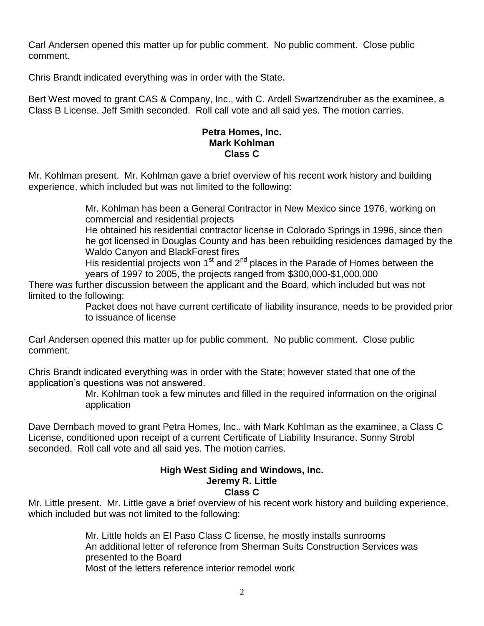Carl Andersen opened this matter up for public comment. No public comment. Close public comment.

Chris Brandt indicated everything was in order with the State.

Bert West moved to grant CAS & Company, Inc., with C. Ardell Swartzendruber as the examinee, a Class B License. Jeff Smith seconded. Roll call vote and all said yes. The motion carries.

### **Petra Homes, Inc. Mark Kohlman Class C**

Mr. Kohlman present. Mr. Kohlman gave a brief overview of his recent work history and building experience, which included but was not limited to the following:

> Mr. Kohlman has been a General Contractor in New Mexico since 1976, working on commercial and residential projects

He obtained his residential contractor license in Colorado Springs in 1996, since then he got licensed in Douglas County and has been rebuilding residences damaged by the Waldo Canyon and BlackForest fires

His residential projects won  $1<sup>st</sup>$  and  $2<sup>nd</sup>$  places in the Parade of Homes between the years of 1997 to 2005, the projects ranged from \$300,000-\$1,000,000

There was further discussion between the applicant and the Board, which included but was not limited to the following:

Packet does not have current certificate of liability insurance, needs to be provided prior to issuance of license

Carl Andersen opened this matter up for public comment. No public comment. Close public comment.

Chris Brandt indicated everything was in order with the State; however stated that one of the application's questions was not answered.

> Mr. Kohlman took a few minutes and filled in the required information on the original application

Dave Dernbach moved to grant Petra Homes, Inc., with Mark Kohlman as the examinee, a Class C License, conditioned upon receipt of a current Certificate of Liability Insurance. Sonny Strobl seconded. Roll call vote and all said yes. The motion carries.

#### **High West Siding and Windows, Inc. Jeremy R. Little Class C**

Mr. Little present. Mr. Little gave a brief overview of his recent work history and building experience, which included but was not limited to the following:

> Mr. Little holds an El Paso Class C license, he mostly installs sunrooms An additional letter of reference from Sherman Suits Construction Services was presented to the Board Most of the letters reference interior remodel work